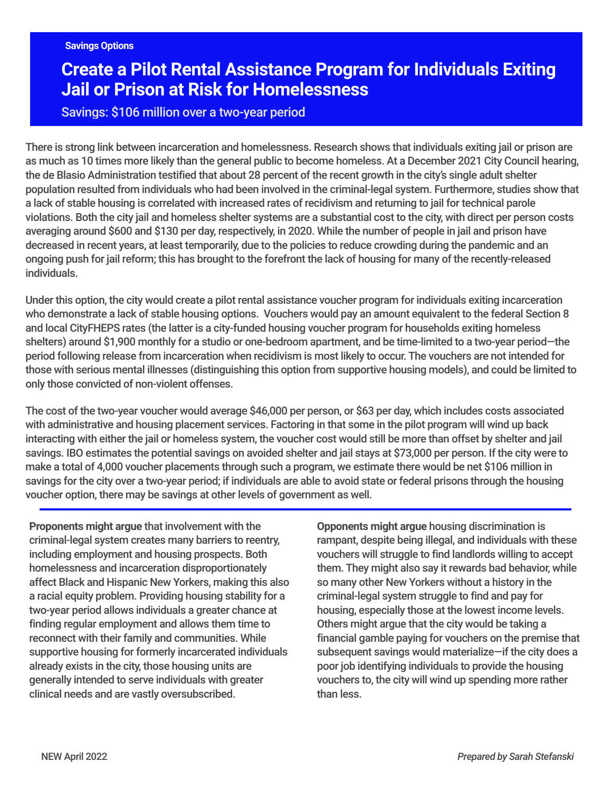# **Create a Pilot Rental Assistance Program for Individuals Exiting Jail or Prison at Risk for Homelessness**

## Savings: \$106 million over a two-year period

There is strong link between incarceration and homelessness. Research shows that individuals exiting jail or prison are as much as 10 times more likely than the general public to become homeless. At a December 2021 City Council hearing, the de Blasio Administration testified that about 28 percent of the recent growth in the city's single adult shelter population resulted from individuals who had been involved in the criminal-legal system. Furthermore, studies show that a lack of stable housing is correlated with increased rates of recidivism and returning to jail for technical parole violations. Both the city jail and homeless shelter systems are a substantial cost to the city, with direct per person costs averaging around \$600 and \$130 per day, respectively, in 2020. While the number of people in jail and prison have decreased in recent years, at least temporarily, due to the policies to reduce crowding during the pandemic and an ongoing push for jail reform; this has brought to the forefront the lack of housing for many of the recently-released individuals.

Under this option, the city would create a pilot rental assistance voucher program for individuals exiting incarceration who demonstrate a lack of stable housing options. Vouchers would pay an amount equivalent to the federal Section 8 and local CityFHEPS rates (the latter is a city-funded housing voucher program for households exiting homeless shelters) around \$1,900 monthly for a studio or one-bedroom apartment, and be time-limited to a two-year period—the period following release from incarceration when recidivism is most likely to occur. The vouchers are not intended for those with serious mental illnesses (distinguishing this option from supportive housing models), and could be limited to only those convicted of non-violent offenses.

The cost of the two-year voucher would average \$46,000 per person, or \$63 per day, which includes costs associated with administrative and housing placement services. Factoring in that some in the pilot program will wind up back interacting with either the jail or homeless system, the voucher cost would still be more than offset by shelter and jail savings. IBO estimates the potential savings on avoided shelter and jail stays at \$73,000 per person. If the city were to make a total of 4,000 voucher placements through such a program, we estimate there would be net \$106 million in savings for the city over a two-year period; if individuals are able to avoid state or federal prisons through the housing voucher option, there may be savings at other levels of government as well.

**Proponents might argue** that involvement with the criminal-legal system creates many barriers to reentry, including employment and housing prospects. Both homelessness and incarceration disproportionately affect Black and Hispanic New Yorkers, making this also a racial equity problem. Providing housing stability for a two-year period allows individuals a greater chance at finding regular employment and allows them time to reconnect with their family and communities. While supportive housing for formerly incarcerated individuals already exists in the city, those housing units are generally intended to serve individuals with greater clinical needs and are vastly oversubscribed.

**Opponents might argue** housing discrimination is rampant, despite being illegal, and individuals with these vouchers will struggle to find landlords willing to accept them. They might also say it rewards bad behavior, while so many other New Yorkers without a history in the criminal-legal system struggle to find and pay for housing, especially those at the lowest income levels. Others might argue that the city would be taking a financial gamble paying for vouchers on the premise that subsequent savings would materialize—if the city does a poor job identifying individuals to provide the housing vouchers to, the city will wind up spending more rather than less.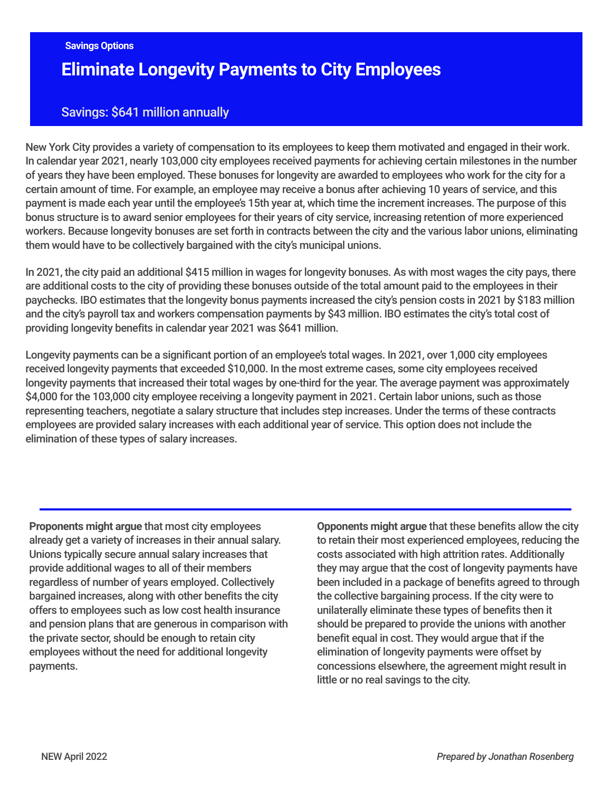# **Eliminate Longevity Payments to City Employees**

## Savings: \$641 million annually

New York City provides a variety of compensation to its employees to keep them motivated and engaged in their work. In calendar year 2021, nearly 103,000 city employees received payments for achieving certain milestones in the number of years they have been employed. These bonuses for longevity are awarded to employees who work for the city for a certain amount of time. For example, an employee may receive a bonus after achieving 10 years of service, and this payment is made each year until the employee's 15th year at, which time the increment increases. The purpose of this bonus structure is to award senior employees for their years of city service, increasing retention of more experienced workers. Because longevity bonuses are set forth in contracts between the city and the various labor unions, eliminating them would have to be collectively bargained with the city's municipal unions.

In 2021, the city paid an additional \$415 million in wages for longevity bonuses. As with most wages the city pays, there are additional costs to the city of providing these bonuses outside of the total amount paid to the employees in their paychecks. IBO estimates that the longevity bonus payments increased the city's pension costs in 2021 by \$183 million and the city's payroll tax and workers compensation payments by \$43 million. IBO estimates the city's total cost of providing longevity benefits in calendar year 2021 was \$641 million.

Longevity payments can be a significant portion of an employee's total wages. In 2021, over 1,000 city employees received longevity payments that exceeded \$10,000. In the most extreme cases, some city employees received longevity payments that increased their total wages by one-third for the year. The average payment was approximately \$4,000 for the 103,000 city employee receiving a longevity payment in 2021. Certain labor unions, such as those representing teachers, negotiate a salary structure that includes step increases. Under the terms of these contracts employees are provided salary increases with each additional year of service. This option does not include the elimination of these types of salary increases.

**Proponents might argue** that most city employees already get a variety of increases in their annual salary. Unions typically secure annual salary increases that provide additional wages to all of their members regardless of number of years employed. Collectively bargained increases, along with other benefits the city offers to employees such as low cost health insurance and pension plans that are generous in comparison with the private sector, should be enough to retain city employees without the need for additional longevity payments.

**Opponents might argue** that these benefits allow the city to retain their most experienced employees, reducing the costs associated with high attrition rates. Additionally they may argue that the cost of longevity payments have been included in a package of benefits agreed to through the collective bargaining process. If the city were to unilaterally eliminate these types of benefits then it should be prepared to provide the unions with another benefit equal in cost. They would argue that if the elimination of longevity payments were offset by concessions elsewhere, the agreement might result in little or no real savings to the city.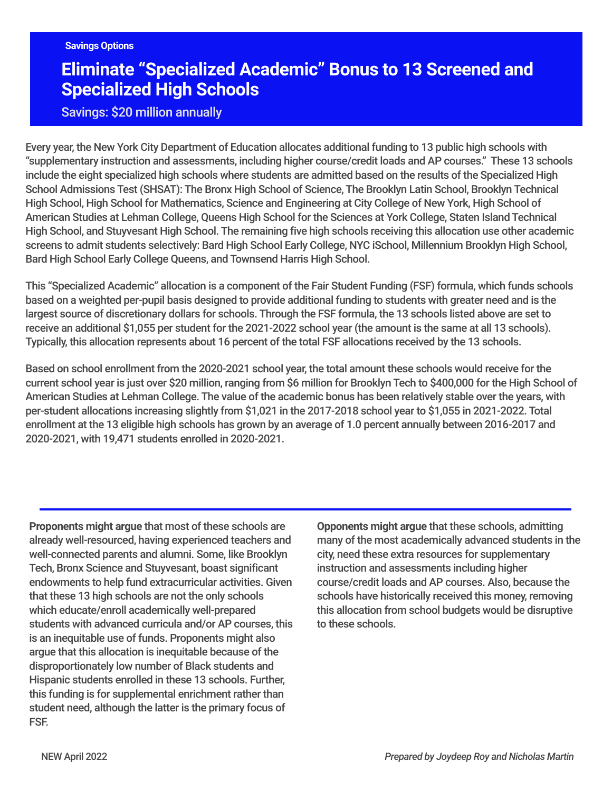# **Eliminate "Specialized Academic" Bonus to 13 Screened and Specialized High Schools**

## Savings: \$20 million annually

Every year, the New York City Department of Education allocates additional funding to 13 public high schools with "supplementary instruction and assessments, including higher course/credit loads and AP courses." These 13 schools include the eight specialized high schools where students are admitted based on the results of the Specialized High School Admissions Test (SHSAT): The Bronx High School of Science, The Brooklyn Latin School, Brooklyn Technical High School, High School for Mathematics, Science and Engineering at City College of New York, High School of American Studies at Lehman College, Queens High School for the Sciences at York College, Staten Island Technical High School, and Stuyvesant High School. The remaining five high schools receiving this allocation use other academic screens to admit students selectively: Bard High School Early College, NYC iSchool, Millennium Brooklyn High School, Bard High School Early College Queens, and Townsend Harris High School.

This "Specialized Academic" allocation is a component of the Fair Student Funding (FSF) formula, which funds schools based on a weighted per-pupil basis designed to provide additional funding to students with greater need and is the largest source of discretionary dollars for schools. Through the FSF formula, the 13 schools listed above are set to receive an additional \$1,055 per student for the 2021-2022 school year (the amount is the same at all 13 schools). Typically, this allocation represents about 16 percent of the total FSF allocations received by the 13 schools.

Based on school enrollment from the 2020-2021 school year, the total amount these schools would receive for the current school year is just over \$20 million, ranging from \$6 million for Brooklyn Tech to \$400,000 for the High School of American Studies at Lehman College. The value of the academic bonus has been relatively stable over the years, with per-student allocations increasing slightly from \$1,021 in the 2017-2018 school year to \$1,055 in 2021-2022. Total enrollment at the 13 eligible high schools has grown by an average of 1.0 percent annually between 2016-2017 and 2020-2021, with 19,471 students enrolled in 2020-2021.

**Proponents might argue** that most of these schools are already well-resourced, having experienced teachers and well-connected parents and alumni. Some, like Brooklyn Tech, Bronx Science and Stuyvesant, boast significant endowments to help fund extracurricular activities. Given that these 13 high schools are not the only schools which educate/enroll academically well-prepared students with advanced curricula and/or AP courses, this is an inequitable use of funds. Proponents might also argue that this allocation is inequitable because of the disproportionately low number of Black students and Hispanic students enrolled in these 13 schools. Further, this funding is for supplemental enrichment rather than student need, although the latter is the primary focus of FSF.

**Opponents might argue** that these schools, admitting many of the most academically advanced students in the city, need these extra resources for supplementary instruction and assessments including higher course/credit loads and AP courses. Also, because the schools have historically received this money, removing this allocation from school budgets would be disruptive to these schools.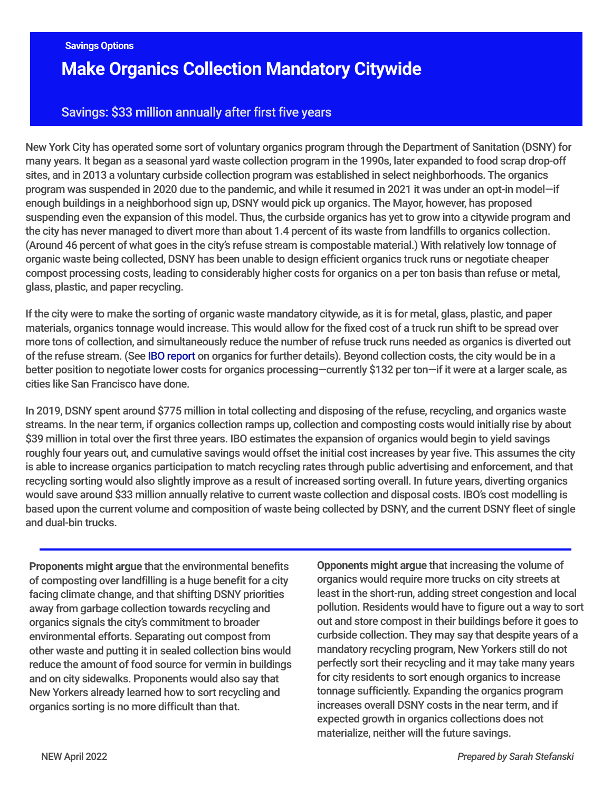# **Make Organics Collection Mandatory Citywide**

## Savings: \$33 million annually after first five years

New York City has operated some sort of voluntary organics program through the Department of Sanitation (DSNY) for many years. It began as a seasonal yard waste collection program in the 1990s, later expanded to food scrap drop-off sites, and in 2013 a voluntary curbside collection program was established in select neighborhoods. The organics program was suspended in 2020 due to the pandemic, and while it resumed in 2021 it was under an opt-in model—if enough buildings in a neighborhood sign up, DSNY would pick up organics. The Mayor, however, has proposed suspending even the expansion of this model. Thus, the curbside organics has yet to grow into a citywide program and the city has never managed to divert more than about 1.4 percent of its waste from landfills to organics collection. (Around 46 percent of what goes in the city's refuse stream is compostable material.) With relatively low tonnage of organic waste being collected, DSNY has been unable to design efficient organics truck runs or negotiate cheaper compost processing costs, leading to considerably higher costs for organics on a per ton basis than refuse or metal, glass, plastic, and paper recycling.

If the city were to make the sorting of organic waste mandatory citywide, as it is for metal, glass, plastic, and paper materials, organics tonnage would increase. This would allow for the fixed cost of a truck run shift to be spread over more tons of collection, and simultaneously reduce the number of refuse truck runs needed as organics is diverted out of the refuse stream. (See IBO [report](https://ibo.nyc.ny.us/iboreports/going-green-can-the-organics-collection-program-be%20fiscally-and-environmentally-sustainable-fiscal-brief-october-2021.pdf) on organics for further details). Beyond collection costs, the city would be in a better position to negotiate lower costs for organics processing—currently \$132 per ton—if it were at a larger scale, as cities like San Francisco have done.

In 2019, DSNY spent around \$775 million in total collecting and disposing of the refuse, recycling, and organics waste streams. In the near term, if organics collection ramps up, collection and composting costs would initially rise by about \$39 million in total over the first three years. IBO estimates the expansion of organics would begin to yield savings roughly four years out, and cumulative savings would offset the initial cost increases by year five. This assumes the city is able to increase organics participation to match recycling rates through public advertising and enforcement, and that recycling sorting would also slightly improve as a result of increased sorting overall. In future years, diverting organics would save around \$33 million annually relative to current waste collection and disposal costs. IBO's cost modelling is based upon the current volume and composition of waste being collected by DSNY, and the current DSNY fleet of single and dual-bin trucks.

**Proponents might argue** that the environmental benefits of composting over landfilling is a huge benefit for a city facing climate change, and that shifting DSNY priorities away from garbage collection towards recycling and organics signals the city's commitment to broader environmental efforts. Separating out compost from other waste and putting it in sealed collection bins would reduce the amount of food source for vermin in buildings and on city sidewalks. Proponents would also say that New Yorkers already learned how to sort recycling and organics sorting is no more difficult than that.

**Opponents might argue** that increasing the volume of organics would require more trucks on city streets at least in the short-run, adding street congestion and local pollution. Residents would have to figure out a way to sort out and store compost in their buildings before it goes to curbside collection. They may say that despite years of a mandatory recycling program, New Yorkers still do not perfectly sort their recycling and it may take many years for city residents to sort enough organics to increase tonnage sufficiently. Expanding the organics program increases overall DSNY costs in the near term, and if expected growth in organics collections does not materialize, neither will the future savings.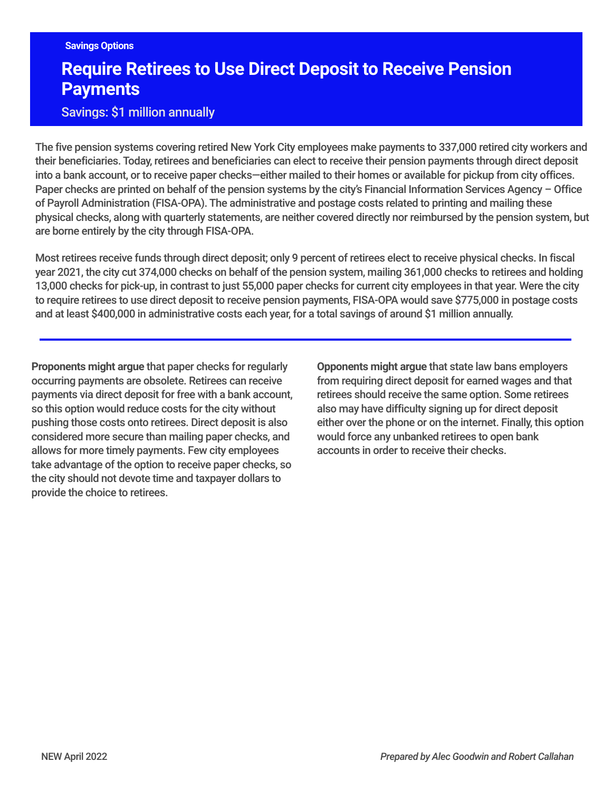# **Require Retirees to Use Direct Deposit to Receive Pension Payments**

## Savings: \$1 million annually

The five pension systems covering retired New York City employees make payments to 337,000 retired city workers and their beneficiaries. Today, retirees and beneficiaries can elect to receive their pension payments through direct deposit into a bank account, or to receive paper checks—either mailed to their homes or available for pickup from city offices. Paper checks are printed on behalf of the pension systems by the city's Financial Information Services Agency – Office of Payroll Administration (FISA-OPA). The administrative and postage costs related to printing and mailing these physical checks, along with quarterly statements, are neither covered directly nor reimbursed by the pension system, but are borne entirely by the city through FISA-OPA.

Most retirees receive funds through direct deposit; only 9 percent of retirees elect to receive physical checks. In fiscal year 2021, the city cut 374,000 checks on behalf of the pension system, mailing 361,000 checks to retirees and holding 13,000 checks for pick-up, in contrast to just 55,000 paper checks for current city employees in that year. Were the city to require retirees to use direct deposit to receive pension payments, FISA-OPA would save \$775,000 in postage costs and at least \$400,000 in administrative costs each year, for a total savings of around \$1 million annually.

**Proponents might argue** that paper checks for regularly occurring payments are obsolete. Retirees can receive payments via direct deposit for free with a bank account, so this option would reduce costs for the city without pushing those costs onto retirees. Direct deposit is also considered more secure than mailing paper checks, and allows for more timely payments. Few city employees take advantage of the option to receive paper checks, so the city should not devote time and taxpayer dollars to provide the choice to retirees.

**Opponents might argue** that state law bans employers from requiring direct deposit for earned wages and that retirees should receive the same option. Some retirees also may have difficulty signing up for direct deposit either over the phone or on the internet. Finally, this option would force any unbanked retirees to open bank accounts in order to receive their checks.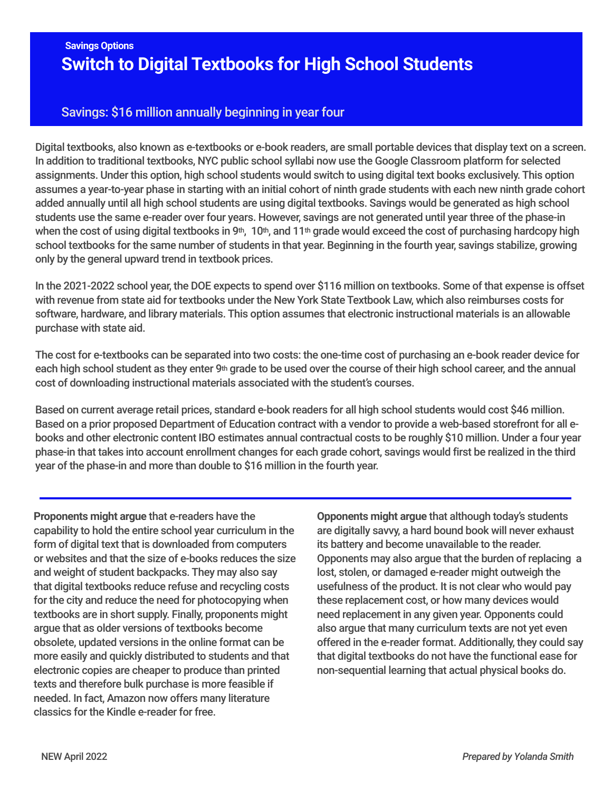## **Switch to Digital Textbooks for High School Students Savings Options**

## Savings: \$16 million annually beginning in year four

Digital textbooks, also known as e-textbooks or e-book readers, are small portable devices that display text on a screen. In addition to traditional textbooks, NYC public school syllabi now use the Google Classroom platform for selected assignments. Under this option, high school students would switch to using digital text books exclusively. This option assumes a year-to-year phase in starting with an initial cohort of ninth grade students with each new ninth grade cohort added annually until all high school students are using digital textbooks. Savings would be generated as high school students use the same e-reader over four years. However, savings are not generated until year three of the phase-in when the cost of using digital textbooks in 9<sup>th</sup>, 10<sup>th</sup>, and 11<sup>th</sup> grade would exceed the cost of purchasing hardcopy high school textbooks for the same number of students in that year. Beginning in the fourth year, savings stabilize, growing only by the general upward trend in textbook prices.

In the 2021-2022 school year, the DOE expects to spend over \$116 million on textbooks. Some of that expense is offset with revenue from state aid for textbooks under the New York State Textbook Law, which also reimburses costs for software, hardware, and library materials. This option assumes that electronic instructional materials is an allowable purchase with state aid.

The cost for e-textbooks can be separated into two costs: the one-time cost of purchasing an e-book reader device for each high school student as they enter 9th grade to be used over the course of their high school career, and the annual cost of downloading instructional materials associated with the student's courses.

Based on current average retail prices, standard e-book readers for all high school students would cost \$46 million. Based on a prior proposed Department of Education contract with a vendor to provide a web-based storefront for all ebooks and other electronic content IBO estimates annual contractual costs to be roughly \$10 million. Under a four year phase-in that takes into account enrollment changes for each grade cohort, savings would first be realized in the third year of the phase-in and more than double to \$16 million in the fourth year.

**Proponents might argue** that e-readers have the capability to hold the entire school year curriculum in the form of digital text that is downloaded from computers or websites and that the size of e-books reduces the size and weight of student backpacks. They may also say that digital textbooks reduce refuse and recycling costs for the city and reduce the need for photocopying when textbooks are in short supply. Finally, proponents might argue that as older versions of textbooks become obsolete, updated versions in the online format can be more easily and quickly distributed to students and that electronic copies are cheaper to produce than printed texts and therefore bulk purchase is more feasible if needed. In fact, Amazon now offers many literature classics for the Kindle e-reader for free.

**Opponents might argue** that although today's students are digitally savvy, a hard bound book will never exhaust its battery and become unavailable to the reader. Opponents may also argue that the burden of replacing a lost, stolen, or damaged e-reader might outweigh the usefulness of the product. It is not clear who would pay these replacement cost, or how many devices would need replacement in any given year. Opponents could also argue that many curriculum texts are not yet even offered in the e-reader format. Additionally, they could say that digital textbooks do not have the functional ease for non-sequential learning that actual physical books do.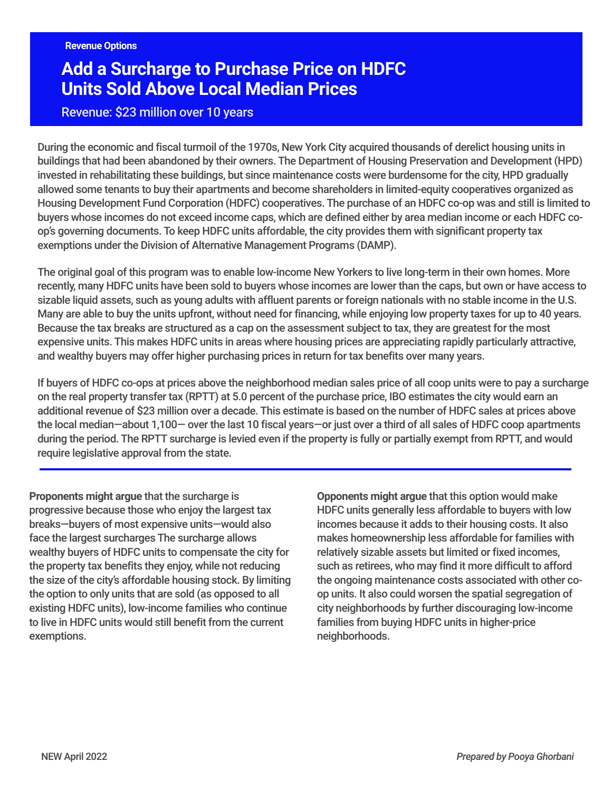# **Add a Surcharge to Purchase Price on HDFC Units Sold Above Local Median Prices**

## Revenue: \$23 million over 10 years

During the economic and fiscal turmoil of the 1970s, New York City acquired thousands of derelict housing units in buildings that had been abandoned by their owners. The Department of Housing Preservation and Development (HPD) invested in rehabilitating these buildings, but since maintenance costs were burdensome for the city, HPD gradually allowed some tenants to buy their apartments and become shareholders in limited-equity cooperatives organized as Housing Development Fund Corporation (HDFC) cooperatives. The purchase of an HDFC co-op was and still is limited to buyers whose incomes do not exceed income caps, which are defined either by area median income or each HDFC coop's governing documents. To keep HDFC units affordable, the city provides them with significant property tax exemptions under the Division of Alternative Management Programs (DAMP).

The original goal of this program was to enable low-income New Yorkers to live long-term in their own homes. More recently, many HDFC units have been sold to buyers whose incomes are lower than the caps, but own or have access to sizable liquid assets, such as young adults with affluent parents or foreign nationals with no stable income in the U.S. Many are able to buy the units upfront, without need for financing, while enjoying low property taxes for up to 40 years. Because the tax breaks are structured as a cap on the assessment subject to tax, they are greatest for the most expensive units. This makes HDFC units in areas where housing prices are appreciating rapidly particularly attractive, and wealthy buyers may offer higher purchasing prices in return for tax benefits over many years.

If buyers of HDFC co-ops at prices above the neighborhood median sales price of all coop units were to pay a surcharge on the real property transfer tax (RPTT) at 5.0 percent of the purchase price, IBO estimates the city would earn an additional revenue of \$23 million over a decade. This estimate is based on the number of HDFC sales at prices above the local median—about 1,100— over the last 10 fiscal years—or just over a third of all sales of HDFC coop apartments during the period. The RPTT surcharge is levied even if the property is fully or partially exempt from RPTT, and would require legislative approval from the state.

**Proponents might argue** that the surcharge is progressive because those who enjoy the largest tax breaks—buyers of most expensive units—would also face the largest surcharges The surcharge allows wealthy buyers of HDFC units to compensate the city for the property tax benefits they enjoy, while not reducing the size of the city's affordable housing stock. By limiting the option to only units that are sold (as opposed to all existing HDFC units), low-income families who continue to live in HDFC units would still benefit from the current exemptions.

**Opponents might argue** that this option would make HDFC units generally less affordable to buyers with low incomes because it adds to their housing costs. It also makes homeownership less affordable for families with relatively sizable assets but limited or fixed incomes, such as retirees, who may find it more difficult to afford the ongoing maintenance costs associated with other coop units. It also could worsen the spatial segregation of city neighborhoods by further discouraging low-income families from buying HDFC units in higher-price neighborhoods.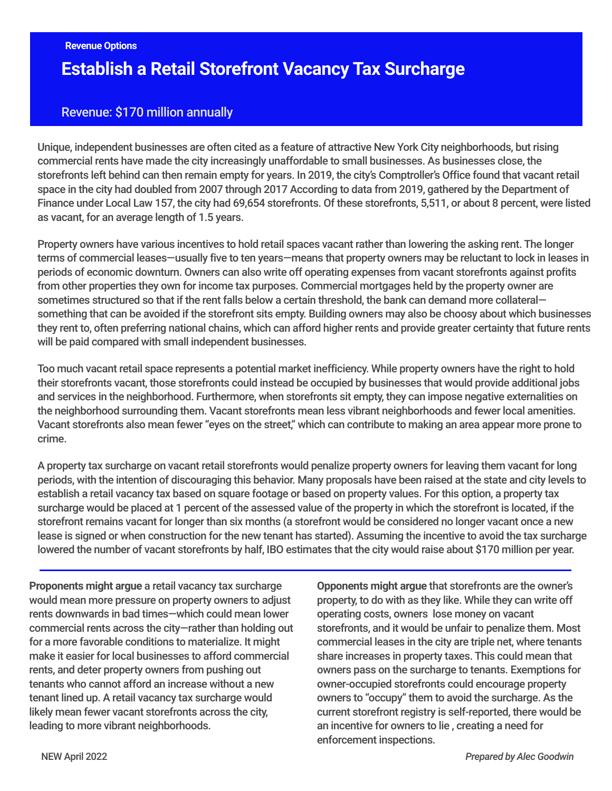# **Establish a Retail Storefront Vacancy Tax Surcharge**

## Revenue: \$170 million annually

Unique, independent businesses are often cited as a feature of attractive New York City neighborhoods, but rising commercial rents have made the city increasingly unaffordable to small businesses. As businesses close, the storefronts left behind can then remain empty for years. In 2019, the city's Comptroller's Office found that vacant retail space in the city had doubled from 2007 through 2017 According to data from 2019, gathered by the Department of Finance under Local Law 157, the city had 69,654 storefronts. Of these storefronts, 5,511, or about 8 percent, were listed as vacant, for an average length of 1.5 years.

Property owners have various incentives to hold retail spaces vacant rather than lowering the asking rent. The longer terms of commercial leases—usually five to ten years—means that property owners may be reluctant to lock in leases in periods of economic downturn. Owners can also write off operating expenses from vacant storefronts against profits from other properties they own for income tax purposes. Commercial mortgages held by the property owner are sometimes structured so that if the rent falls below a certain threshold, the bank can demand more collateral something that can be avoided if the storefront sits empty. Building owners may also be choosy about which businesses they rent to, often preferring national chains, which can afford higher rents and provide greater certainty that future rents will be paid compared with small independent businesses.

Too much vacant retail space represents a potential market inefficiency. While property owners have the right to hold their storefronts vacant, those storefronts could instead be occupied by businesses that would provide additional jobs and services in the neighborhood. Furthermore, when storefronts sit empty, they can impose negative externalities on the neighborhood surrounding them. Vacant storefronts mean less vibrant neighborhoods and fewer local amenities. Vacant storefronts also mean fewer "eyes on the street," which can contribute to making an area appear more prone to crime.

A property tax surcharge on vacant retail storefronts would penalize property owners for leaving them vacant for long periods, with the intention of discouraging this behavior. Many proposals have been raised at the state and city levels to establish a retail vacancy tax based on square footage or based on property values. For this option, a property tax surcharge would be placed at 1 percent of the assessed value of the property in which the storefront is located, if the storefront remains vacant for longer than six months (a storefront would be considered no longer vacant once a new lease is signed or when construction for the new tenant has started). Assuming the incentive to avoid the tax surcharge lowered the number of vacant storefronts by half, IBO estimates that the city would raise about \$170 million per year.

**Proponents might argue** a retail vacancy tax surcharge would mean more pressure on property owners to adjust rents downwards in bad times—which could mean lower commercial rents across the city—rather than holding out for a more favorable conditions to materialize. It might make it easier for local businesses to afford commercial rents, and deter property owners from pushing out tenants who cannot afford an increase without a new tenant lined up. A retail vacancy tax surcharge would likely mean fewer vacant storefronts across the city, leading to more vibrant neighborhoods.

**Opponents might argue** that storefronts are the owner's property, to do with as they like. While they can write off operating costs, owners lose money on vacant storefronts, and it would be unfair to penalize them. Most commercial leases in the city are triple net, where tenants share increases in property taxes. This could mean that owners pass on the surcharge to tenants. Exemptions for owner-occupied storefronts could encourage property owners to "occupy" them to avoid the surcharge. As the current storefront registry is self-reported, there would be an incentive for owners to lie , creating a need for enforcement inspections.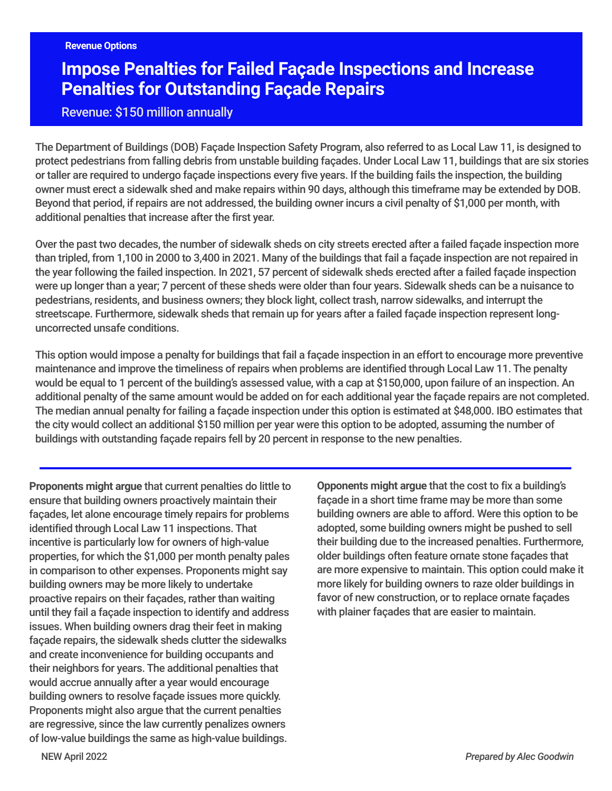# **Impose Penalties for Failed Façade Inspections and Increase Penalties for Outstanding Façade Repairs**

Revenue: \$150 million annually

The Department of Buildings (DOB) Façade Inspection Safety Program, also referred to as Local Law 11, is designed to protect pedestrians from falling debris from unstable building façades. Under Local Law 11, buildings that are six stories or taller are required to undergo façade inspections every five years. If the building fails the inspection, the building owner must erect a sidewalk shed and make repairs within 90 days, although this timeframe may be extended by DOB. Beyond that period, if repairs are not addressed, the building owner incurs a civil penalty of \$1,000 per month, with additional penalties that increase after the first year.

Over the past two decades, the number of sidewalk sheds on city streets erected after a failed façade inspection more than tripled, from 1,100 in 2000 to 3,400 in 2021. Many of the buildings that fail a façade inspection are not repaired in the year following the failed inspection. In 2021, 57 percent of sidewalk sheds erected after a failed façade inspection were up longer than a year; 7 percent of these sheds were older than four years. Sidewalk sheds can be a nuisance to pedestrians, residents, and business owners; they block light, collect trash, narrow sidewalks, and interrupt the streetscape. Furthermore, sidewalk sheds that remain up for years after a failed façade inspection represent longuncorrected unsafe conditions.

This option would impose a penalty for buildings that fail a façade inspection in an effort to encourage more preventive maintenance and improve the timeliness of repairs when problems are identified through Local Law 11. The penalty would be equal to 1 percent of the building's assessed value, with a cap at \$150,000, upon failure of an inspection. An additional penalty of the same amount would be added on for each additional year the façade repairs are not completed. The median annual penalty for failing a façade inspection under this option is estimated at \$48,000. IBO estimates that the city would collect an additional \$150 million per year were this option to be adopted, assuming the number of buildings with outstanding façade repairs fell by 20 percent in response to the new penalties.

**Proponents might argue** that current penalties do little to ensure that building owners proactively maintain their façades, let alone encourage timely repairs for problems identified through Local Law 11 inspections. That incentive is particularly low for owners of high-value properties, for which the \$1,000 per month penalty pales in comparison to other expenses. Proponents might say building owners may be more likely to undertake proactive repairs on their façades, rather than waiting until they fail a façade inspection to identify and address issues. When building owners drag their feet in making façade repairs, the sidewalk sheds clutter the sidewalks and create inconvenience for building occupants and their neighbors for years. The additional penalties that would accrue annually after a year would encourage building owners to resolve façade issues more quickly. Proponents might also argue that the current penalties are regressive, since the law currently penalizes owners of low-value buildings the same as high-value buildings.

**Opponents might argue** that the cost to fix a building's façade in a short time frame may be more than some building owners are able to afford. Were this option to be adopted, some building owners might be pushed to sell their building due to the increased penalties. Furthermore, older buildings often feature ornate stone façades that are more expensive to maintain. This option could make it more likely for building owners to raze older buildings in favor of new construction, or to replace ornate façades with plainer façades that are easier to maintain.